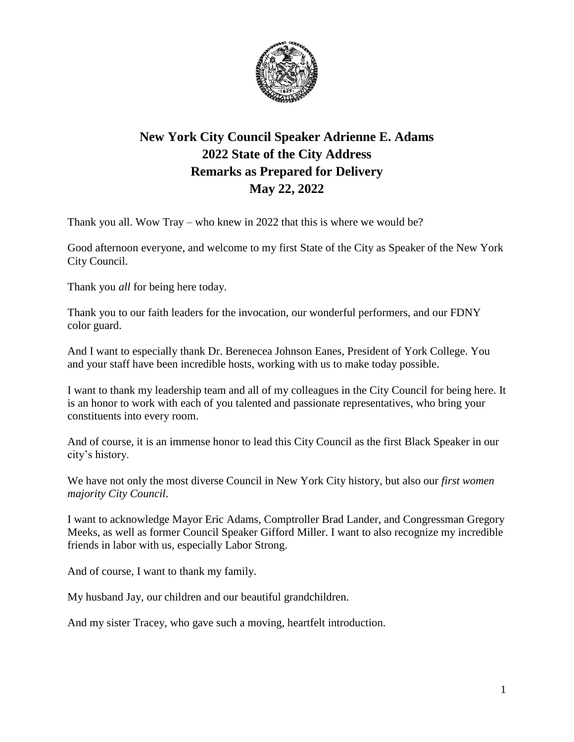

## **New York City Council Speaker Adrienne E. Adams 2022 State of the City Address Remarks as Prepared for Delivery May 22, 2022**

Thank you all. Wow Tray – who knew in 2022 that this is where we would be?

Good afternoon everyone, and welcome to my first State of the City as Speaker of the New York City Council.

Thank you *all* for being here today.

Thank you to our faith leaders for the invocation, our wonderful performers, and our FDNY color guard.

And I want to especially thank Dr. Berenecea Johnson Eanes, President of York College. You and your staff have been incredible hosts, working with us to make today possible.

I want to thank my leadership team and all of my colleagues in the City Council for being here. It is an honor to work with each of you talented and passionate representatives, who bring your constituents into every room.

And of course, it is an immense honor to lead this City Council as the first Black Speaker in our city's history.

We have not only the most diverse Council in New York City history, but also our *first women majority City Council*.

I want to acknowledge Mayor Eric Adams, Comptroller Brad Lander, and Congressman Gregory Meeks, as well as former Council Speaker Gifford Miller. I want to also recognize my incredible friends in labor with us, especially Labor Strong.

And of course, I want to thank my family.

My husband Jay, our children and our beautiful grandchildren.

And my sister Tracey, who gave such a moving, heartfelt introduction.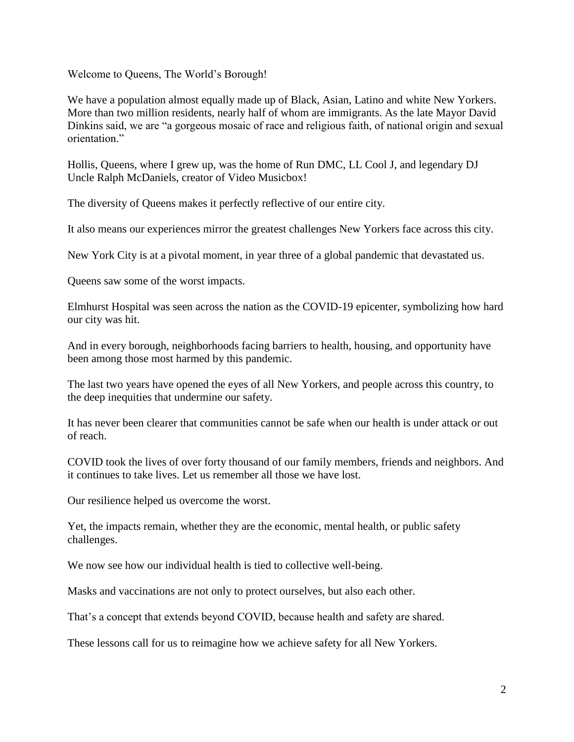Welcome to Queens, The World's Borough!

We have a population almost equally made up of Black, Asian, Latino and white New Yorkers. More than two million residents, nearly half of whom are immigrants. As the late Mayor David Dinkins said, we are "a gorgeous mosaic of race and religious faith, of national origin and sexual orientation."

Hollis, Queens, where I grew up, was the home of Run DMC, LL Cool J, and legendary DJ Uncle Ralph McDaniels, creator of Video Musicbox!

The diversity of Queens makes it perfectly reflective of our entire city.

It also means our experiences mirror the greatest challenges New Yorkers face across this city.

New York City is at a pivotal moment, in year three of a global pandemic that devastated us.

Queens saw some of the worst impacts.

Elmhurst Hospital was seen across the nation as the COVID-19 epicenter, symbolizing how hard our city was hit.

And in every borough, neighborhoods facing barriers to health, housing, and opportunity have been among those most harmed by this pandemic.

The last two years have opened the eyes of all New Yorkers, and people across this country, to the deep inequities that undermine our safety.

It has never been clearer that communities cannot be safe when our health is under attack or out of reach.

COVID took the lives of over forty thousand of our family members, friends and neighbors. And it continues to take lives. Let us remember all those we have lost.

Our resilience helped us overcome the worst.

Yet, the impacts remain, whether they are the economic, mental health, or public safety challenges.

We now see how our individual health is tied to collective well-being.

Masks and vaccinations are not only to protect ourselves, but also each other.

That's a concept that extends beyond COVID, because health and safety are shared.

These lessons call for us to reimagine how we achieve safety for all New Yorkers.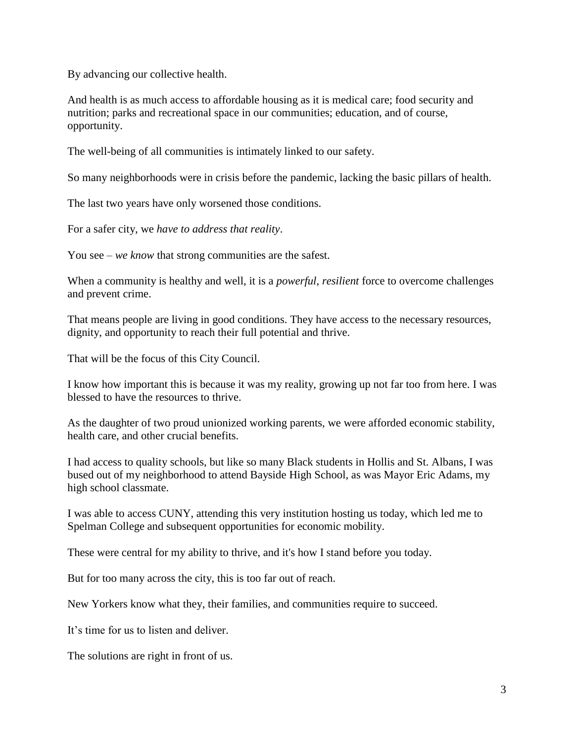By advancing our collective health.

And health is as much access to affordable housing as it is medical care; food security and nutrition; parks and recreational space in our communities; education, and of course, opportunity.

The well-being of all communities is intimately linked to our safety.

So many neighborhoods were in crisis before the pandemic, lacking the basic pillars of health.

The last two years have only worsened those conditions.

For a safer city, we *have to address that reality*.

You see – *we know* that strong communities are the safest.

When a community is healthy and well, it is a *powerful*, *resilient* force to overcome challenges and prevent crime.

That means people are living in good conditions. They have access to the necessary resources, dignity, and opportunity to reach their full potential and thrive.

That will be the focus of this City Council.

I know how important this is because it was my reality, growing up not far too from here. I was blessed to have the resources to thrive.

As the daughter of two proud unionized working parents, we were afforded economic stability, health care, and other crucial benefits.

I had access to quality schools, but like so many Black students in Hollis and St. Albans, I was bused out of my neighborhood to attend Bayside High School, as was Mayor Eric Adams, my high school classmate.

I was able to access CUNY, attending this very institution hosting us today, which led me to Spelman College and subsequent opportunities for economic mobility.

These were central for my ability to thrive, and it's how I stand before you today.

But for too many across the city, this is too far out of reach.

New Yorkers know what they, their families, and communities require to succeed.

It's time for us to listen and deliver.

The solutions are right in front of us.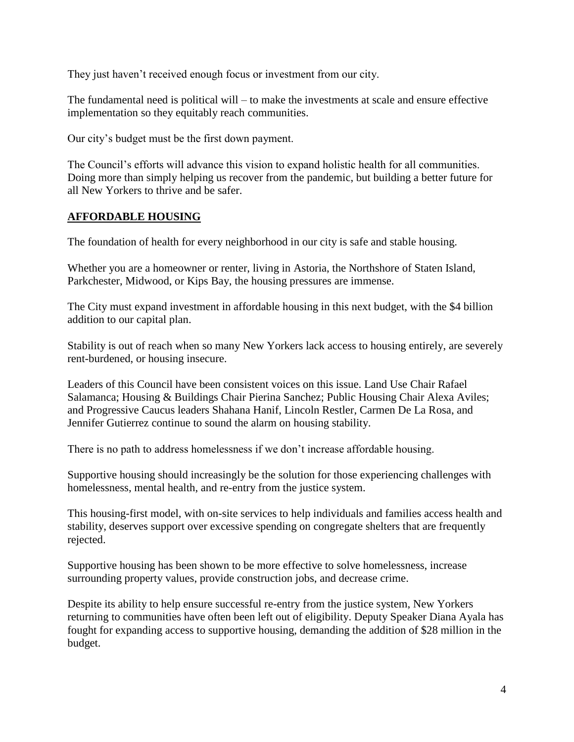They just haven't received enough focus or investment from our city.

The fundamental need is political will – to make the investments at scale and ensure effective implementation so they equitably reach communities.

Our city's budget must be the first down payment.

The Council's efforts will advance this vision to expand holistic health for all communities. Doing more than simply helping us recover from the pandemic, but building a better future for all New Yorkers to thrive and be safer.

## **AFFORDABLE HOUSING**

The foundation of health for every neighborhood in our city is safe and stable housing.

Whether you are a homeowner or renter, living in Astoria, the Northshore of Staten Island, Parkchester, Midwood, or Kips Bay, the housing pressures are immense.

The City must expand investment in affordable housing in this next budget, with the \$4 billion addition to our capital plan.

Stability is out of reach when so many New Yorkers lack access to housing entirely, are severely rent-burdened, or housing insecure.

Leaders of this Council have been consistent voices on this issue. Land Use Chair Rafael Salamanca; Housing & Buildings Chair Pierina Sanchez; Public Housing Chair Alexa Aviles; and Progressive Caucus leaders Shahana Hanif, Lincoln Restler, Carmen De La Rosa, and Jennifer Gutierrez continue to sound the alarm on housing stability.

There is no path to address homelessness if we don't increase affordable housing.

Supportive housing should increasingly be the solution for those experiencing challenges with homelessness, mental health, and re-entry from the justice system.

This housing-first model, with on-site services to help individuals and families access health and stability, deserves support over excessive spending on congregate shelters that are frequently rejected.

Supportive housing has been shown to be more effective to solve homelessness, increase surrounding property values, provide construction jobs, and decrease crime.

Despite its ability to help ensure successful re-entry from the justice system, New Yorkers returning to communities have often been left out of eligibility. Deputy Speaker Diana Ayala has fought for expanding access to supportive housing, demanding the addition of \$28 million in the budget.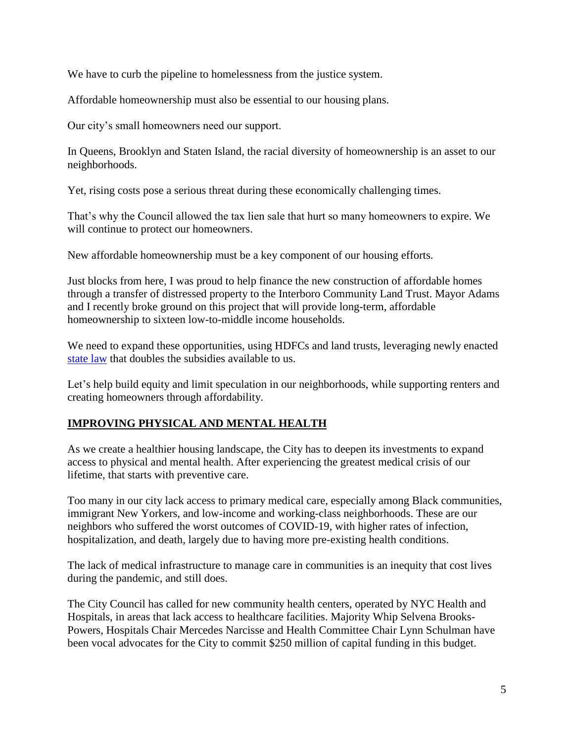We have to curb the pipeline to homelessness from the justice system.

Affordable homeownership must also be essential to our housing plans.

Our city's small homeowners need our support.

In Queens, Brooklyn and Staten Island, the racial diversity of homeownership is an asset to our neighborhoods.

Yet, rising costs pose a serious threat during these economically challenging times.

That's why the Council allowed the tax lien sale that hurt so many homeowners to expire. We will continue to protect our homeowners.

New affordable homeownership must be a key component of our housing efforts.

Just blocks from here, I was proud to help finance the new construction of affordable homes through a transfer of distressed property to the Interboro Community Land Trust. Mayor Adams and I recently broke ground on this project that will provide long-term, affordable homeownership to sixteen low-to-middle income households.

We need to expand these opportunities, using HDFCs and land trusts, leveraging newly enacted [state law](https://www.nysenate.gov/newsroom/press-releases/jamaal-t-bailey/governor-hochul-signs-affordable-housing-corporation-grant) that doubles the subsidies available to us.

Let's help build equity and limit speculation in our neighborhoods, while supporting renters and creating homeowners through affordability.

## **IMPROVING PHYSICAL AND MENTAL HEALTH**

As we create a healthier housing landscape, the City has to deepen its investments to expand access to physical and mental health. After experiencing the greatest medical crisis of our lifetime, that starts with preventive care.

Too many in our city lack access to primary medical care, especially among Black communities, immigrant New Yorkers, and low-income and working-class neighborhoods. These are our neighbors who suffered the worst outcomes of COVID-19, with higher rates of infection, hospitalization, and death, largely due to having more pre-existing health conditions.

The lack of medical infrastructure to manage care in communities is an inequity that cost lives during the pandemic, and still does.

The City Council has called for new community health centers, operated by NYC Health and Hospitals, in areas that lack access to healthcare facilities. Majority Whip Selvena Brooks-Powers, Hospitals Chair Mercedes Narcisse and Health Committee Chair Lynn Schulman have been vocal advocates for the City to commit \$250 million of capital funding in this budget.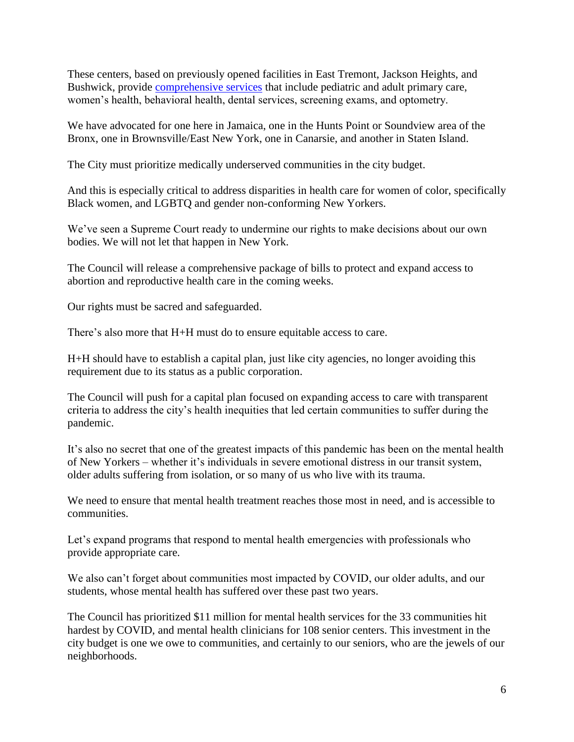These centers, based on previously opened facilities in East Tremont, Jackson Heights, and Bushwick, provide [comprehensive services](https://www.nychealthandhospitals.org/pressrelease/three-future-community-based-full-service-health-care-centers-announced/) that include pediatric and adult primary care, women's health, behavioral health, dental services, screening exams, and optometry.

We have advocated for one here in Jamaica, one in the Hunts Point or Soundview area of the Bronx, one in Brownsville/East New York, one in Canarsie, and another in Staten Island.

The City must prioritize medically underserved communities in the city budget.

And this is especially critical to address disparities in health care for women of color, specifically Black women, and LGBTQ and gender non-conforming New Yorkers.

We've seen a Supreme Court ready to undermine our rights to make decisions about our own bodies. We will not let that happen in New York.

The Council will release a comprehensive package of bills to protect and expand access to abortion and reproductive health care in the coming weeks.

Our rights must be sacred and safeguarded.

There's also more that H+H must do to ensure equitable access to care.

H+H should have to establish a capital plan, just like city agencies, no longer avoiding this requirement due to its status as a public corporation.

The Council will push for a capital plan focused on expanding access to care with transparent criteria to address the city's health inequities that led certain communities to suffer during the pandemic.

It's also no secret that one of the greatest impacts of this pandemic has been on the mental health of New Yorkers – whether it's individuals in severe emotional distress in our transit system, older adults suffering from isolation, or so many of us who live with its trauma.

We need to ensure that mental health treatment reaches those most in need, and is accessible to communities.

Let's expand programs that respond to mental health emergencies with professionals who provide appropriate care.

We also can't forget about communities most impacted by COVID, our older adults, and our students, whose mental health has suffered over these past two years.

The Council has prioritized \$11 million for mental health services for the 33 communities hit hardest by COVID, and mental health clinicians for 108 senior centers. This investment in the city budget is one we owe to communities, and certainly to our seniors, who are the jewels of our neighborhoods.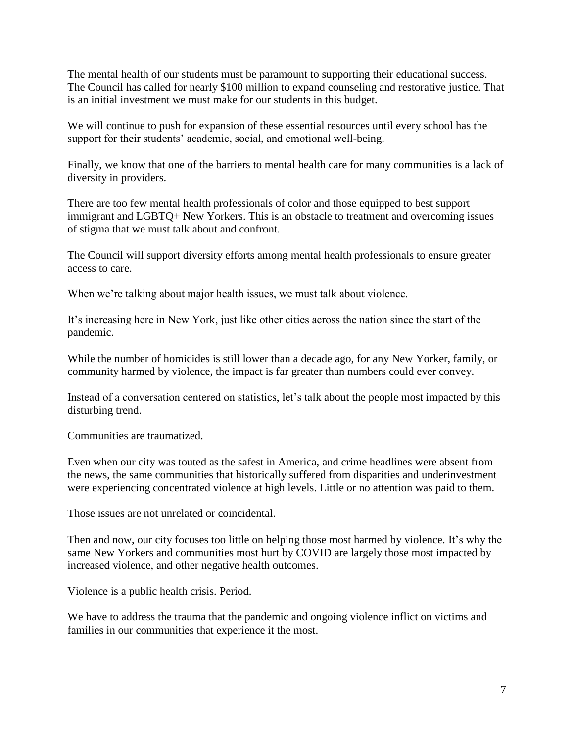The mental health of our students must be paramount to supporting their educational success. The Council has called for nearly \$100 million to expand counseling and restorative justice. That is an initial investment we must make for our students in this budget.

We will continue to push for expansion of these essential resources until every school has the support for their students' academic, social, and emotional well-being.

Finally, we know that one of the barriers to mental health care for many communities is a lack of diversity in providers.

There are too few mental health professionals of color and those equipped to best support immigrant and LGBTQ+ New Yorkers. This is an obstacle to treatment and overcoming issues of stigma that we must talk about and confront.

The Council will support diversity efforts among mental health professionals to ensure greater access to care.

When we're talking about major health issues, we must talk about violence.

It's increasing here in New York, just like other cities across the nation since the start of the pandemic.

While the number of homicides is still lower than a decade ago, for any New Yorker, family, or community harmed by violence, the impact is far greater than numbers could ever convey.

Instead of a conversation centered on statistics, let's talk about the people most impacted by this disturbing trend.

Communities are traumatized.

Even when our city was touted as the safest in America, and crime headlines were absent from the news, the same communities that historically suffered from disparities and underinvestment were experiencing concentrated violence at high levels. Little or no attention was paid to them.

Those issues are not unrelated or coincidental.

Then and now, our city focuses too little on helping those most harmed by violence. It's why the same New Yorkers and communities most hurt by COVID are largely those most impacted by increased violence, and other negative health outcomes.

Violence is a public health crisis. Period.

We have to address the trauma that the pandemic and ongoing violence inflict on victims and families in our communities that experience it the most.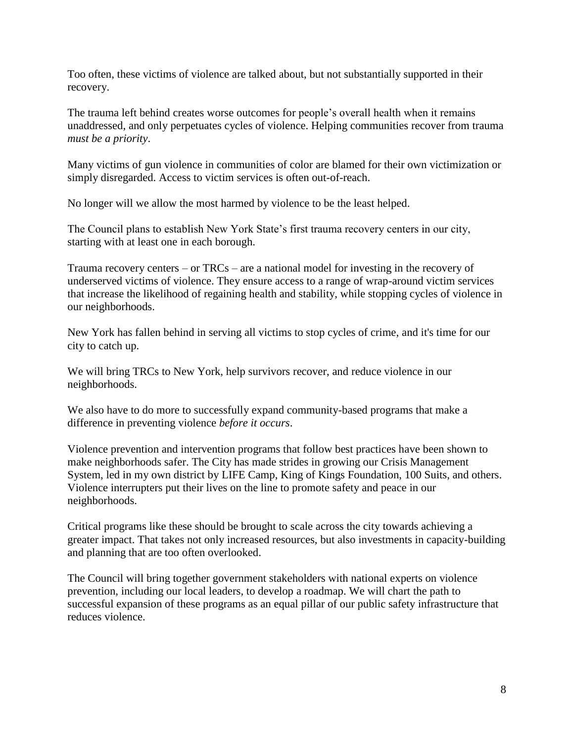Too often, these victims of violence are talked about, but not substantially supported in their recovery.

The trauma left behind creates worse outcomes for people's overall health when it remains unaddressed, and only perpetuates cycles of violence. Helping communities recover from trauma *must be a priority*.

Many victims of gun violence in communities of color are blamed for their own victimization or simply disregarded. Access to victim services is often out-of-reach.

No longer will we allow the most harmed by violence to be the least helped.

The Council plans to establish New York State's first trauma recovery centers in our city, starting with at least one in each borough.

Trauma recovery centers – or TRCs – are a national model for investing in the recovery of underserved victims of violence. They ensure access to a range of wrap-around victim services that increase the likelihood of regaining health and stability, while stopping cycles of violence in our neighborhoods.

New York has fallen behind in serving all victims to stop cycles of crime, and it's time for our city to catch up.

We will bring TRCs to New York, help survivors recover, and reduce violence in our neighborhoods.

We also have to do more to successfully expand community-based programs that make a difference in preventing violence *before it occurs*.

Violence prevention and intervention programs that follow best practices have been shown to make neighborhoods safer. The City has made strides in growing our Crisis Management System, led in my own district by LIFE Camp, King of Kings Foundation, 100 Suits, and others. Violence interrupters put their lives on the line to promote safety and peace in our neighborhoods.

Critical programs like these should be brought to scale across the city towards achieving a greater impact. That takes not only increased resources, but also investments in capacity-building and planning that are too often overlooked.

The Council will bring together government stakeholders with national experts on violence prevention, including our local leaders, to develop a roadmap. We will chart the path to successful expansion of these programs as an equal pillar of our public safety infrastructure that reduces violence.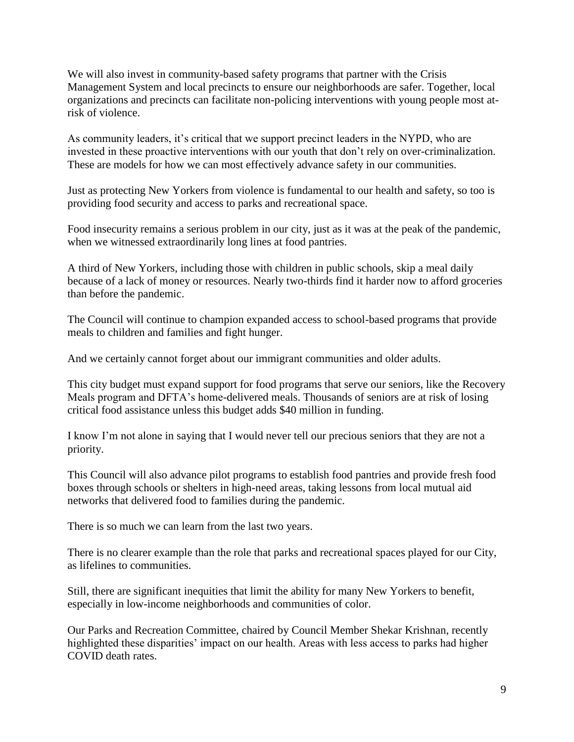We will also invest in community-based safety programs that partner with the Crisis Management System and local precincts to ensure our neighborhoods are safer. Together, local organizations and precincts can facilitate non-policing interventions with young people most atrisk of violence.

As community leaders, it's critical that we support precinct leaders in the NYPD, who are invested in these proactive interventions with our youth that don't rely on over-criminalization. These are models for how we can most effectively advance safety in our communities.

Just as protecting New Yorkers from violence is fundamental to our health and safety, so too is providing food security and access to parks and recreational space.

Food insecurity remains a serious problem in our city, just as it was at the peak of the pandemic, when we witnessed extraordinarily long lines at food pantries.

A third of New Yorkers, including those with children in public schools, skip a meal daily because of a lack of money or resources. Nearly two-thirds find it harder now to afford groceries than before the pandemic.

The Council will continue to champion expanded access to school-based programs that provide meals to children and families and fight hunger.

And we certainly cannot forget about our immigrant communities and older adults.

This city budget must expand support for food programs that serve our seniors, like the Recovery Meals program and DFTA's home-delivered meals. Thousands of seniors are at risk of losing critical food assistance unless this budget adds \$40 million in funding.

I know I'm not alone in saying that I would never tell our precious seniors that they are not a priority.

This Council will also advance pilot programs to establish food pantries and provide fresh food boxes through schools or shelters in high-need areas, taking lessons from local mutual aid networks that delivered food to families during the pandemic.

There is so much we can learn from the last two years.

There is no clearer example than the role that parks and recreational spaces played for our City, as lifelines to communities.

Still, there are significant inequities that limit the ability for many New Yorkers to benefit, especially in low-income neighborhoods and communities of color.

Our Parks and Recreation Committee, chaired by Council Member Shekar Krishnan, recently highlighted these disparities' impact on our health. Areas with less access to parks had higher COVID death rates.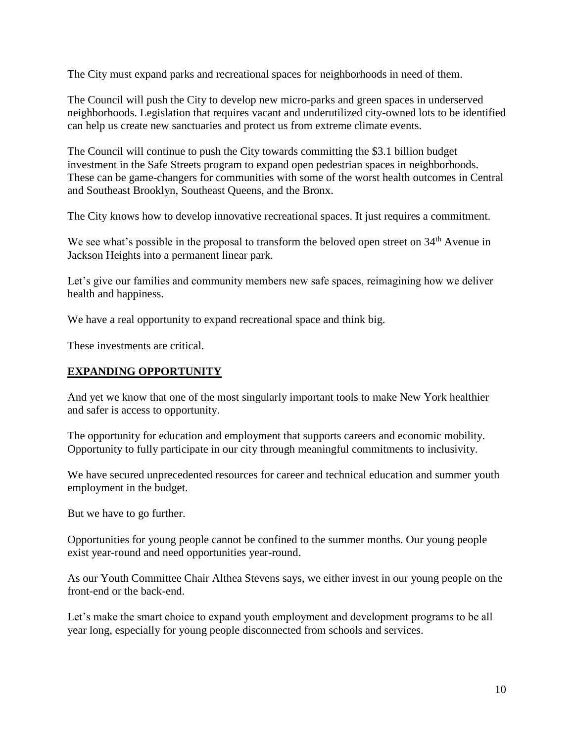The City must expand parks and recreational spaces for neighborhoods in need of them.

The Council will push the City to develop new micro-parks and green spaces in underserved neighborhoods. Legislation that requires vacant and underutilized city-owned lots to be identified can help us create new sanctuaries and protect us from extreme climate events.

The Council will continue to push the City towards committing the \$3.1 billion budget investment in the Safe Streets program to expand open pedestrian spaces in neighborhoods. These can be game-changers for communities with some of the worst health outcomes in Central and Southeast Brooklyn, Southeast Queens, and the Bronx.

The City knows how to develop innovative recreational spaces. It just requires a commitment.

We see what's possible in the proposal to transform the beloved open street on 34<sup>th</sup> Avenue in Jackson Heights into a permanent linear park.

Let's give our families and community members new safe spaces, reimagining how we deliver health and happiness.

We have a real opportunity to expand recreational space and think big.

These investments are critical.

## **EXPANDING OPPORTUNITY**

And yet we know that one of the most singularly important tools to make New York healthier and safer is access to opportunity.

The opportunity for education and employment that supports careers and economic mobility. Opportunity to fully participate in our city through meaningful commitments to inclusivity.

We have secured unprecedented resources for career and technical education and summer youth employment in the budget.

But we have to go further.

Opportunities for young people cannot be confined to the summer months. Our young people exist year-round and need opportunities year-round.

As our Youth Committee Chair Althea Stevens says, we either invest in our young people on the front-end or the back-end.

Let's make the smart choice to expand youth employment and development programs to be all year long, especially for young people disconnected from schools and services.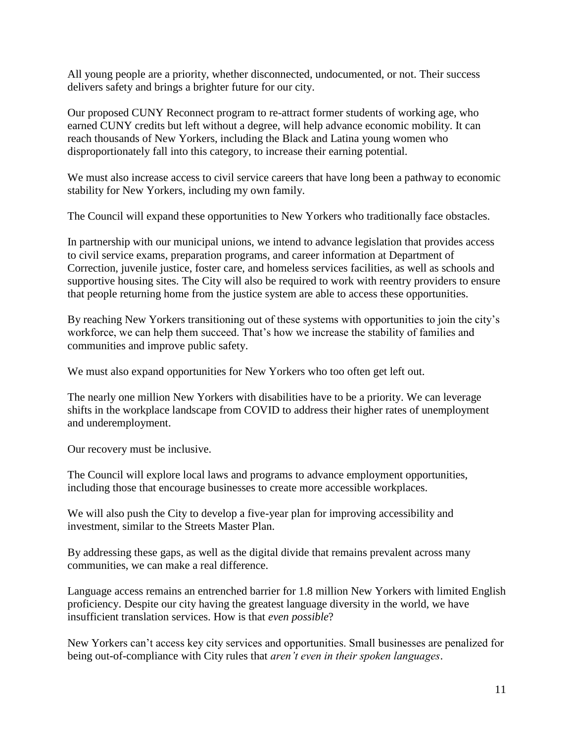All young people are a priority, whether disconnected, undocumented, or not. Their success delivers safety and brings a brighter future for our city.

Our proposed CUNY Reconnect program to re-attract former students of working age, who earned CUNY credits but left without a degree, will help advance economic mobility. It can reach thousands of New Yorkers, including the Black and Latina young women who disproportionately fall into this category, to increase their earning potential.

We must also increase access to civil service careers that have long been a pathway to economic stability for New Yorkers, including my own family.

The Council will expand these opportunities to New Yorkers who traditionally face obstacles.

In partnership with our municipal unions, we intend to advance legislation that provides access to civil service exams, preparation programs, and career information at Department of Correction, juvenile justice, foster care, and homeless services facilities, as well as schools and supportive housing sites. The City will also be required to work with reentry providers to ensure that people returning home from the justice system are able to access these opportunities.

By reaching New Yorkers transitioning out of these systems with opportunities to join the city's workforce, we can help them succeed. That's how we increase the stability of families and communities and improve public safety.

We must also expand opportunities for New Yorkers who too often get left out.

The nearly one million New Yorkers with disabilities have to be a priority. We can leverage shifts in the workplace landscape from COVID to address their higher rates of unemployment and underemployment.

Our recovery must be inclusive.

The Council will explore local laws and programs to advance employment opportunities, including those that encourage businesses to create more accessible workplaces.

We will also push the City to develop a five-year plan for improving accessibility and investment, similar to the Streets Master Plan.

By addressing these gaps, as well as the digital divide that remains prevalent across many communities, we can make a real difference.

Language access remains an entrenched barrier for 1.8 million New Yorkers with limited English proficiency. Despite our city having the greatest language diversity in the world, we have insufficient translation services. How is that *even possible*?

New Yorkers can't access key city services and opportunities. Small businesses are penalized for being out-of-compliance with City rules that *aren't even in their spoken languages*.